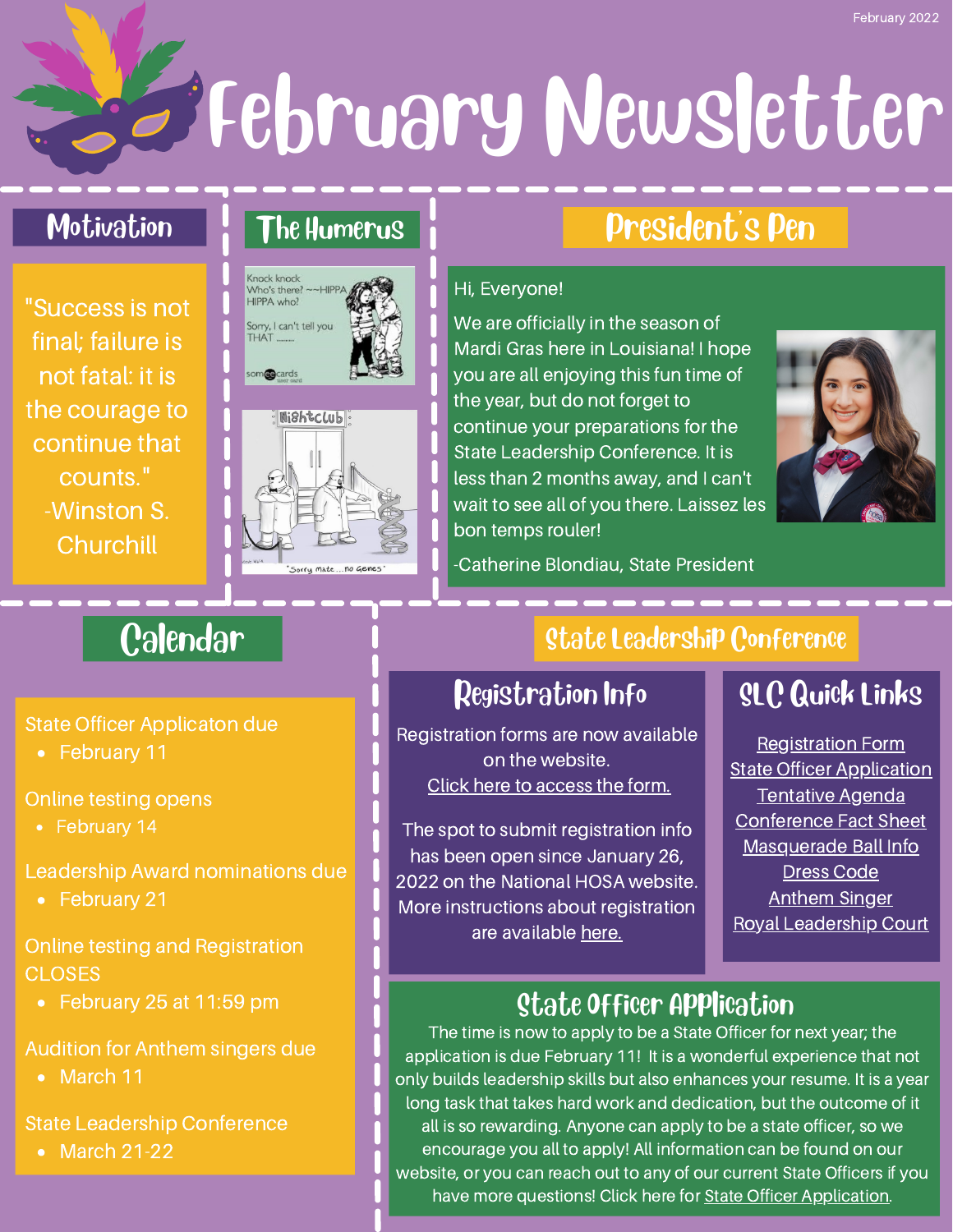February Newsletter

### Motivation

"Success is not final; failure is not fatal: it is the courage to continue that counts." -Winston S. **Churchill** 

# The Humerus





# President's Pen

### Hi, Everyone!

We are officially in the season of Mardi Gras here in Louisiana! I hope you are all enjoying this fun time of the year, but do not forget to continue your preparations for the State Leadership Conference. It is less than 2 months away, and I can't wait to see all of you there. Laissez les bon temps rouler!



-Catherine Blondiau, State President

# **Calendar**

State Officer Applicaton due

• February 11

Online testing opens

• February 14

Leadership Award nominations due

• February 21

Online testing and Registration **CLOSES** 

• February 25 at 11:59 pm

Audition for Anthem singers due

• March 11

State Leadership Conference

• March 21-22

### State Leadership Conference

# Registration Info

Registration forms are now available on the website. Click here to [access](https://8148afc1-18ef-47de-9532-c4d9e17d7d63.filesusr.com/ugd/cd1247_571d098d31944055a9b57a0974fdaeac.pdf) the form.

The spot to submit registration info has been open since January 26, 2022 on the National HOSA website. More instructions about registration are available [here.](https://8148afc1-18ef-47de-9532-c4d9e17d7d63.filesusr.com/ugd/cd1247_bf58b105b51a4b9d8cdc2e5f8addd9f0.pdf)

# SLC Quick Links

[Registration](https://8148afc1-18ef-47de-9532-c4d9e17d7d63.filesusr.com/ugd/cd1247_571d098d31944055a9b57a0974fdaeac.pdf) Form State Officer [Application](https://8148afc1-18ef-47de-9532-c4d9e17d7d63.filesusr.com/ugd/cd1247_42c498378d884a609299294a12834ab3.pdf) [Tentative](https://8148afc1-18ef-47de-9532-c4d9e17d7d63.filesusr.com/ugd/cd1247_0645bb4342564cfcab0e338933c56977.pdf) Agenda [Conference](https://8148afc1-18ef-47de-9532-c4d9e17d7d63.filesusr.com/ugd/cd1247_70bae329b00d4c82a66be0906abc6205.pdf) Fact Sheet [Masquerade](https://8148afc1-18ef-47de-9532-c4d9e17d7d63.filesusr.com/ugd/cd1247_73c846b8a4ad4d12a5f847dbb71615e9.pdf) Ball Info [Dress](https://8148afc1-18ef-47de-9532-c4d9e17d7d63.filesusr.com/ugd/cd1247_f8a1db38460f433a9d1bd818b1dcd90b.pdf) Code [Anthem](https://8148afc1-18ef-47de-9532-c4d9e17d7d63.filesusr.com/ugd/cd1247_f6ad74d3f255498d85ac965681763b9e.pdf) Singer Royal [Leadership](https://8148afc1-18ef-47de-9532-c4d9e17d7d63.filesusr.com/ugd/cd1247_73c846b8a4ad4d12a5f847dbb71615e9.pdf) Court

# **State Officer Application**

The time is now to apply to be a State Officer for next year; the application is due February 11! It is a wonderful experience that not only builds leadership skills but also enhances your resume. It is a year long task that takes hard work and dedication, but the outcome of it all is so rewarding. Anyone can apply to be a state officer, so we encourage you all to apply! All information can be found on our website, or you can reach out to any of our current State Officers if you have more questions! Click here for **State Officer Application**.